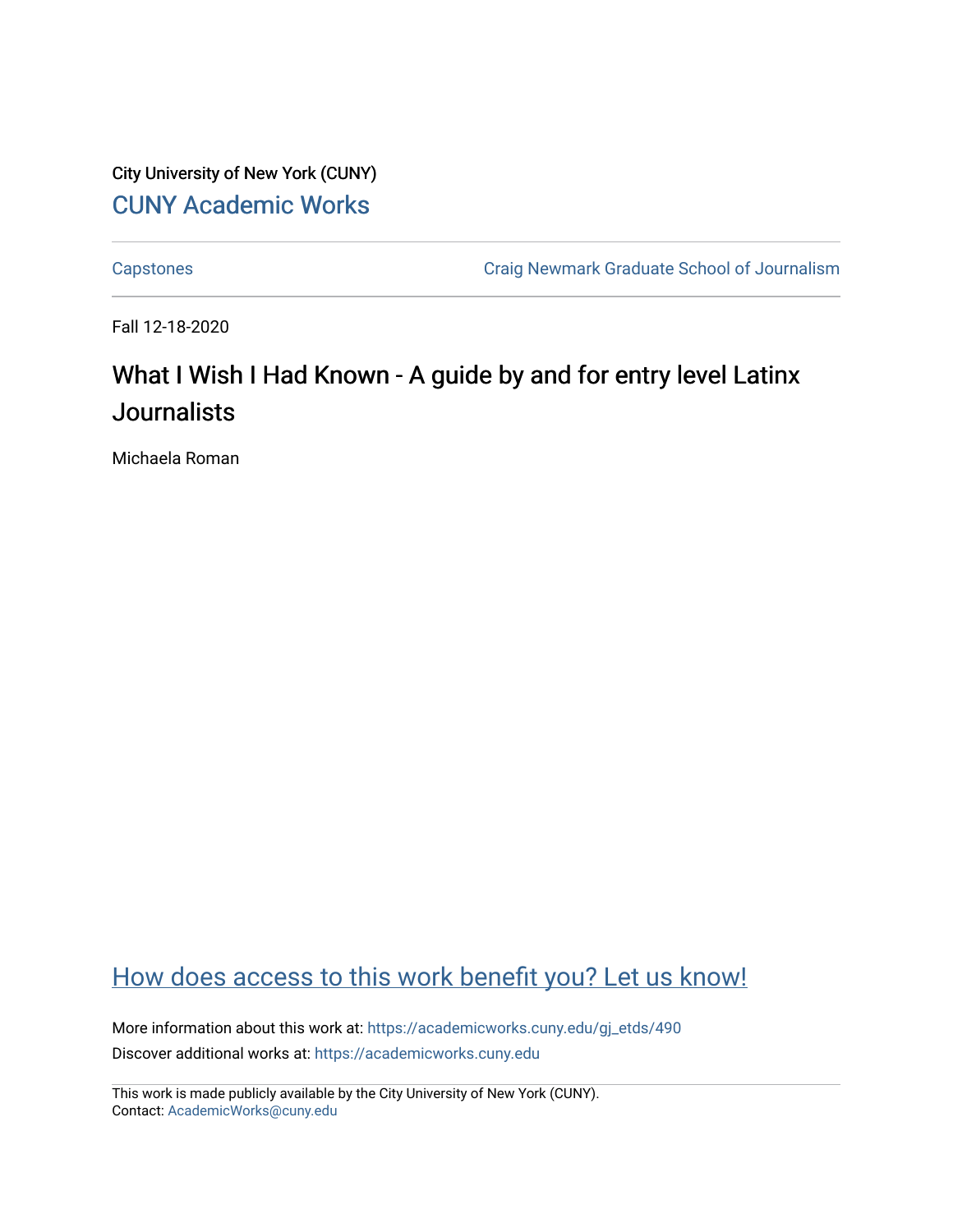City University of New York (CUNY) [CUNY Academic Works](https://academicworks.cuny.edu/) 

[Capstones](https://academicworks.cuny.edu/gj_etds) [Craig Newmark Graduate School of Journalism](https://academicworks.cuny.edu/gj) 

Fall 12-18-2020

# What I Wish I Had Known - A guide by and for entry level Latinx **Journalists**

Michaela Roman

## [How does access to this work benefit you? Let us know!](http://ols.cuny.edu/academicworks/?ref=https://academicworks.cuny.edu/gj_etds/490)

More information about this work at: [https://academicworks.cuny.edu/gj\\_etds/490](https://academicworks.cuny.edu/gj_etds/490)  Discover additional works at: [https://academicworks.cuny.edu](https://academicworks.cuny.edu/?)

This work is made publicly available by the City University of New York (CUNY). Contact: [AcademicWorks@cuny.edu](mailto:AcademicWorks@cuny.edu)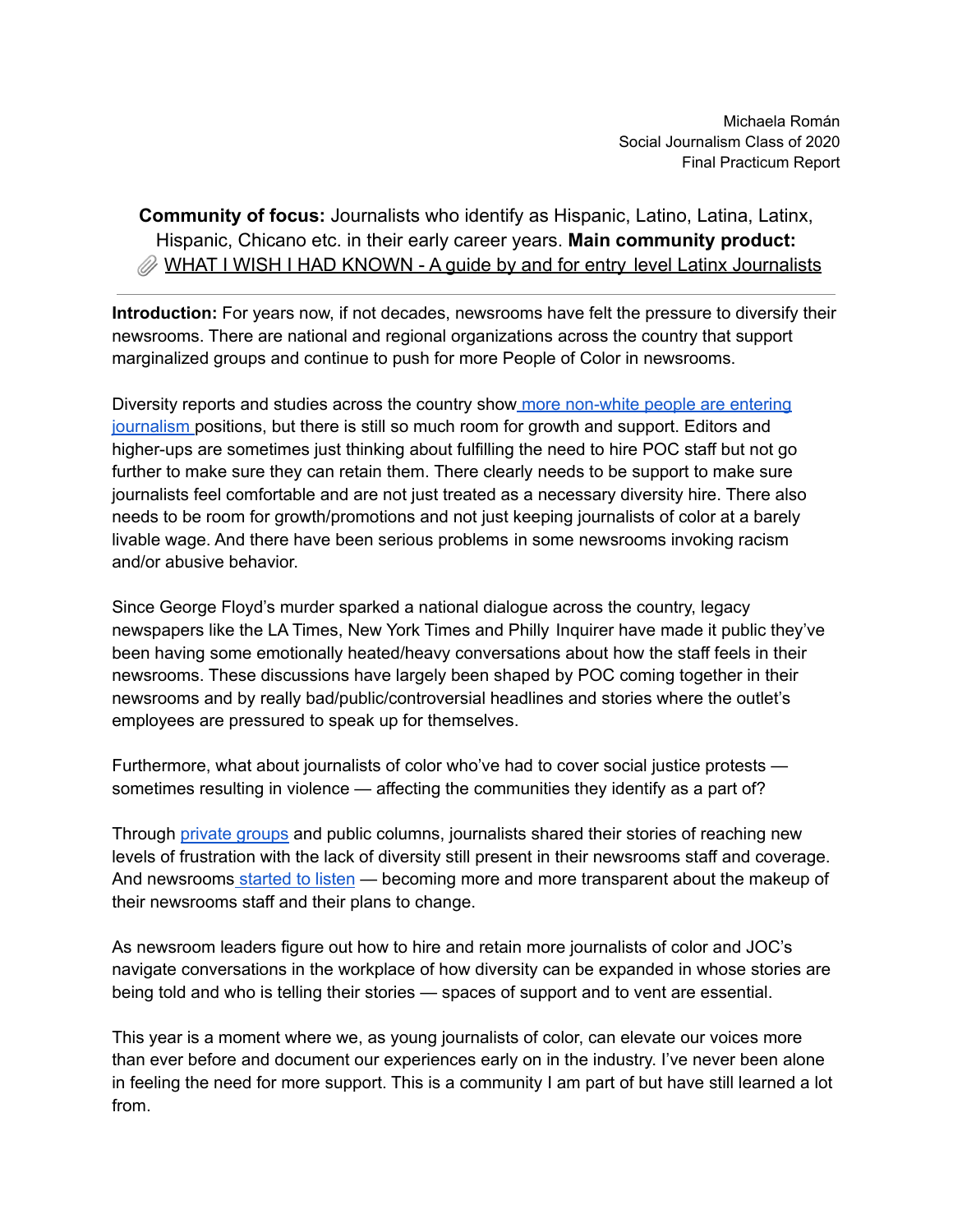**Community of focus:** Journalists who identify as Hispanic, Latino, Latina, Latinx, Hispanic, Chicano etc. in their early career years. **Main community product: [WHAT I WISH I HAD KNOWN - A guide by and for entry](https://docs.google.com/document/d/17jaZHKPs0-ZWxUMrDJZLXy1qZJOv_gClfLHtFpXBcg0/edit#) level Latinx Journalists** 

**Introduction:** For years now, if not decades, newsrooms have felt the pressure to diversify their newsrooms. There are national and regional organizations across the country that support marginalized groups and continue to push for more People of Color in newsrooms.

Diversity reports and studies across the country show more [non-white](https://googletrends.github.io/asne/?filter=race&view=3) people are entering [journalism](https://googletrends.github.io/asne/?filter=race&view=3) positions, but there is still so much room for growth and support. Editors and higher-ups are sometimes just thinking about fulfilling the need to hire POC staff but not go further to make sure they can retain them. There clearly needs to be support to make sure journalists feel comfortable and are not just treated as a necessary diversity hire. There also needs to be room for growth/promotions and not just keeping journalists of color at a barely livable wage. And there have been serious problems in some newsrooms invoking racism and/or abusive behavior.

Since George Floyd's murder sparked a national dialogue across the country, legacy newspapers like the LA Times, New York Times and Philly Inquirer have made it public they've been having some emotionally heated/heavy conversations about how the staff feels in their newsrooms. These discussions have largely been shaped by POC coming together in their newsrooms and by really bad/public/controversial headlines and stories where the outlet's employees are pressured to speak up for themselves.

Furthermore, what about journalists of color who've had to cover social justice protests sometimes resulting in violence — affecting the communities they identify as a part of?

Through private [groups](https://journalistsofcolor.us/) and public columns, journalists shared their stories of reaching new levels of frustration with the lack of diversity still present in their newsrooms staff and coverage. And newsrooms [started](https://www.desertsun.com/story/opinion/columnists/2020/08/20/column-usa-today-network-sets-new-goals-newsroom-diversity-2025/3360173001/) to listen — becoming more and more transparent about the makeup of their newsrooms staff and their plans to change.

As newsroom leaders figure out how to hire and retain more journalists of color and JOC's navigate conversations in the workplace of how diversity can be expanded in whose stories are being told and who is telling their stories — spaces of support and to vent are essential.

This year is a moment where we, as young journalists of color, can elevate our voices more than ever before and document our experiences early on in the industry. I've never been alone in feeling the need for more support. This is a community I am part of but have still learned a lot from.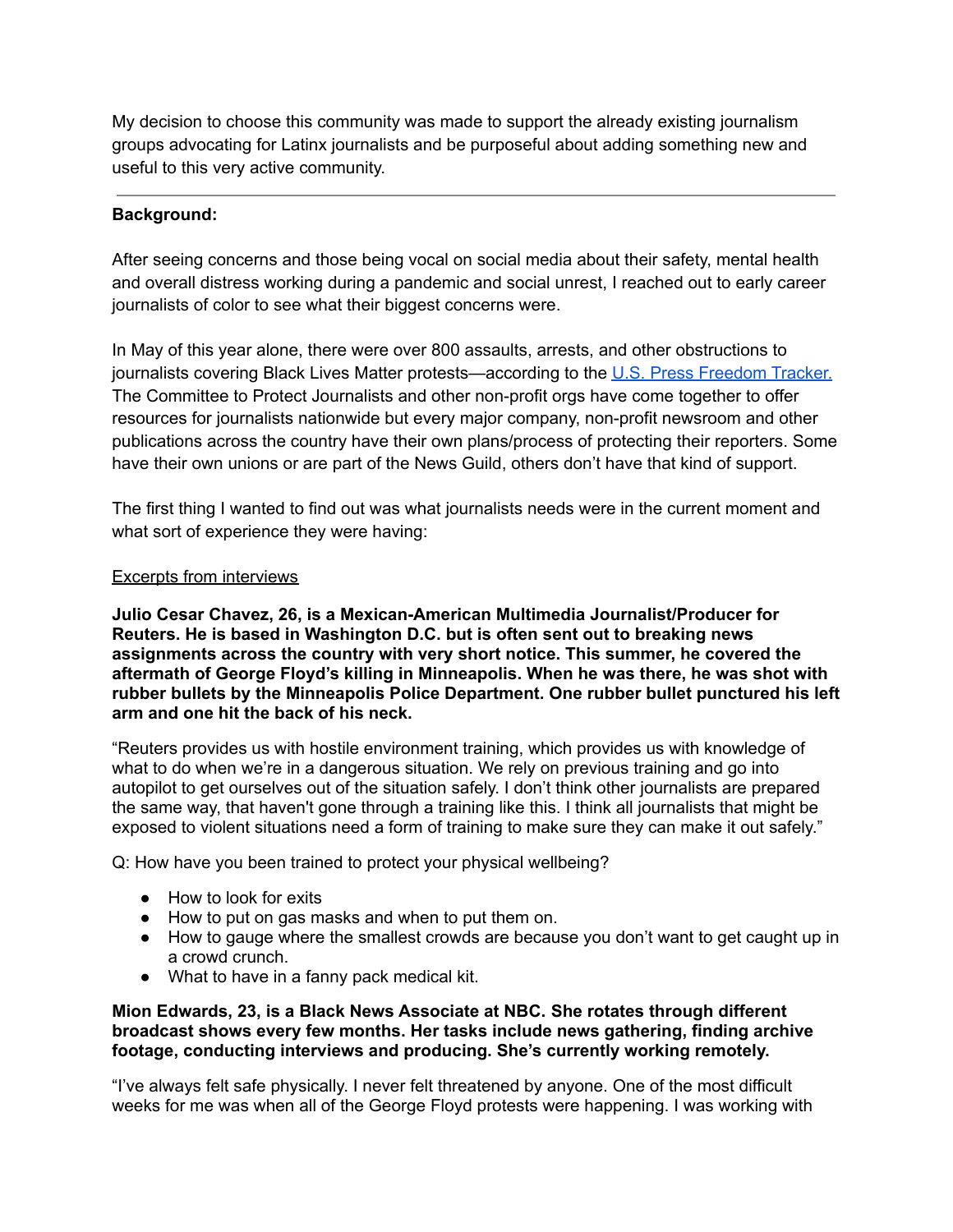My decision to choose this community was made to support the already existing journalism groups advocating for Latinx journalists and be purposeful about adding something new and useful to this very active community.

#### **Background:**

After seeing concerns and those being vocal on social media about their safety, mental health and overall distress working during a pandemic and social unrest, I reached out to early career journalists of color to see what their biggest concerns were.

In May of this year alone, there were over 800 assaults, arrests, and other obstructions to journalists covering Black Lives Matter protests—according to the U.S. Press [Freedom](https://pressfreedomtracker.us/george-floyd-protests/) Tracker. The Committee to Protect Journalists and other non-profit orgs have come together to offer resources for journalists nationwide but every major company, non-profit newsroom and other publications across the country have their own plans/process of protecting their reporters. Some have their own unions or are part of the News Guild, others don't have that kind of support.

The first thing I wanted to find out was what journalists needs were in the current moment and what sort of experience they were having:

#### Excerpts from interviews

**Julio Cesar Chavez, 26, is a Mexican-American Multimedia Journalist/Producer for Reuters. He is based in Washington D.C. but is often sent out to breaking news assignments across the country with very short notice. This summer, he covered the aftermath of George Floyd's killing in Minneapolis. When he was there, he was shot with rubber bullets by the Minneapolis Police Department. One rubber bullet punctured his left arm and one hit the back of his neck.**

"Reuters provides us with hostile environment training, which provides us with knowledge of what to do when we're in a dangerous situation. We rely on previous training and go into autopilot to get ourselves out of the situation safely. I don't think other journalists are prepared the same way, that haven't gone through a training like this. I think all journalists that might be exposed to violent situations need a form of training to make sure they can make it out safely."

Q: How have you been trained to protect your physical wellbeing?

- How to look for exits
- How to put on gas masks and when to put them on.
- How to gauge where the smallest crowds are because you don't want to get caught up in a crowd crunch.
- What to have in a fanny pack medical kit.

#### **Mion Edwards, 23, is a Black News Associate at NBC. She rotates through different broadcast shows every few months. Her tasks include news gathering, finding archive footage, conducting interviews and producing. She's currently working remotely.**

"I've always felt safe physically. I never felt threatened by anyone. One of the most difficult weeks for me was when all of the George Floyd protests were happening. I was working with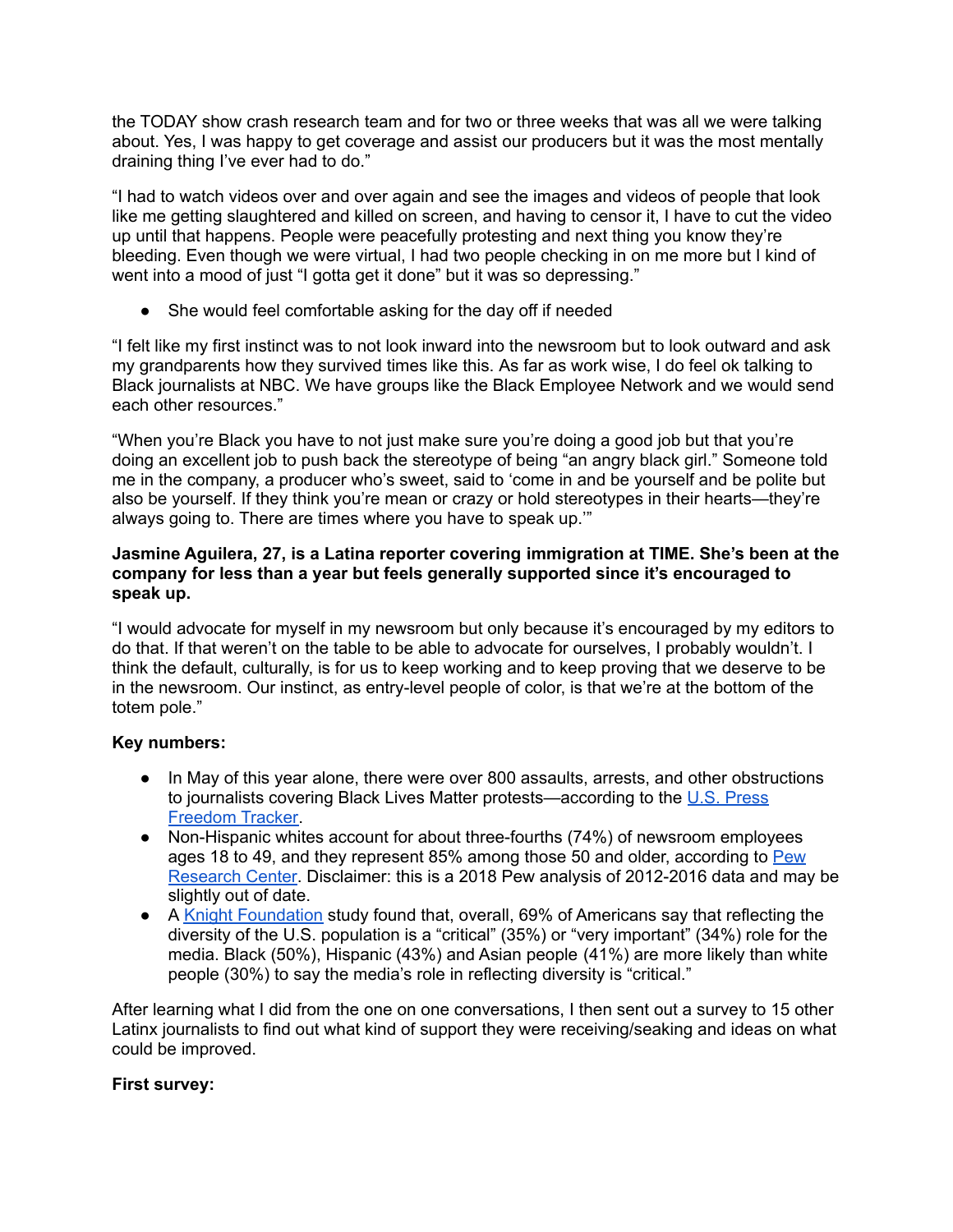the TODAY show crash research team and for two or three weeks that was all we were talking about. Yes, I was happy to get coverage and assist our producers but it was the most mentally draining thing I've ever had to do."

"I had to watch videos over and over again and see the images and videos of people that look like me getting slaughtered and killed on screen, and having to censor it, I have to cut the video up until that happens. People were peacefully protesting and next thing you know they're bleeding. Even though we were virtual, I had two people checking in on me more but I kind of went into a mood of just "I gotta get it done" but it was so depressing."

• She would feel comfortable asking for the day off if needed

"I felt like my first instinct was to not look inward into the newsroom but to look outward and ask my grandparents how they survived times like this. As far as work wise, I do feel ok talking to Black journalists at NBC. We have groups like the Black Employee Network and we would send each other resources."

"When you're Black you have to not just make sure you're doing a good job but that you're doing an excellent job to push back the stereotype of being "an angry black girl." Someone told me in the company, a producer who's sweet, said to 'come in and be yourself and be polite but also be yourself. If they think you're mean or crazy or hold stereotypes in their hearts—they're always going to. There are times where you have to speak up.'"

#### **Jasmine Aguilera, 27, is a Latina reporter covering immigration at TIME. She's been at the company for less than a year but feels generally supported since it's encouraged to speak up.**

"I would advocate for myself in my newsroom but only because it's encouraged by my editors to do that. If that weren't on the table to be able to advocate for ourselves, I probably wouldn't. I think the default, culturally, is for us to keep working and to keep proving that we deserve to be in the newsroom. Our instinct, as entry-level people of color, is that we're at the bottom of the totem pole."

#### **Key numbers:**

- In May of this year alone, there were over 800 assaults, arrests, and other obstructions to journalists covering Black Lives Matter protests—according to the U.S. [Press](https://pressfreedomtracker.us/) [Freedom](https://pressfreedomtracker.us/) Tracker.
- Non-Hispanic whites account for about three-fourths (74%) of newsroom employees ages 18 to 49, and they represent 85% among those 50 and older, according to [Pew](https://www.pewresearch.org/fact-tank/2018/11/02/newsroom-employees-are-less-diverse-than-u-s-workers-overall/) [Research](https://www.pewresearch.org/fact-tank/2018/11/02/newsroom-employees-are-less-diverse-than-u-s-workers-overall/) Center. Disclaimer: this is a 2018 Pew analysis of 2012-2016 data and may be slightly out of date.
- A Knight [Foundation](https://knightfoundation.org/articles/in-u-s-views-of-diversity-in-news-vary-by-party-id-race/) study found that, overall, 69% of Americans say that reflecting the diversity of the U.S. population is a "critical" (35%) or "very important" (34%) role for the media. Black (50%), Hispanic (43%) and Asian people (41%) are more likely than white people (30%) to say the media's role in reflecting diversity is "critical."

After learning what I did from the one on one conversations, I then sent out a survey to 15 other Latinx journalists to find out what kind of support they were receiving/seaking and ideas on what could be improved.

#### **First survey:**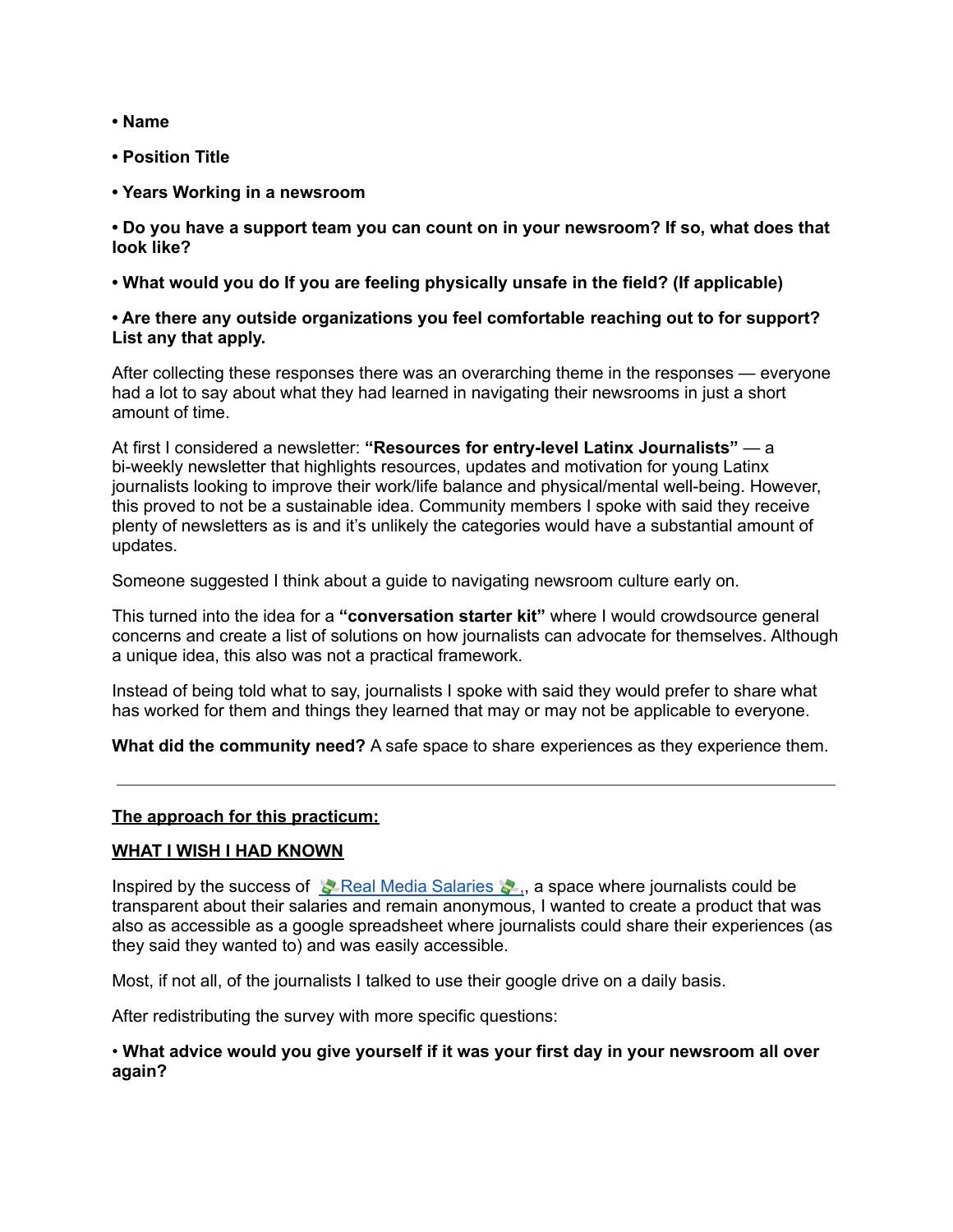- **• Name**
- **• Position Title**
- **• Years Working in a newsroom**

**• Do you have a support team you can count on in your newsroom? If so, what does that look like?**

**• What would you do If you are feeling physically unsafe in the field? (If applicable)**

#### **• Are there any outside organizations you feel comfortable reaching out to for support? List any that apply.**

After collecting these responses there was an overarching theme in the responses — everyone had a lot to say about what they had learned in navigating their newsrooms in just a short amount of time.

At first I considered a newsletter: **"Resources for entry-level Latinx Journalists"** — a bi-weekly newsletter that highlights resources, updates and motivation for young Latinx journalists looking to improve their work/life balance and physical/mental well-being. However, this proved to not be a sustainable idea. Community members I spoke with said they receive plenty of newsletters as is and it's unlikely the categories would have a substantial amount of updates.

Someone suggested I think about a guide to navigating newsroom culture early on.

This turned into the idea for a **"conversation starter kit"** where I would crowdsource general concerns and create a list of solutions on how journalists can advocate for themselves. Although a unique idea, this also was not a practical framework.

Instead of being told what to say, journalists I spoke with said they would prefer to share what has worked for them and things they learned that may or may not be applicable to everyone.

**What did the community need?** A safe space to share experiences as they experience them.

#### **The approach for this [practicum:](https://docs.google.com/document/d/17jaZHKPs0-ZWxUMrDJZLXy1qZJOv_gClfLHtFpXBcg0/edit#)**

#### **WHAT I WISH I HAD [KNOWN](https://docs.google.com/document/d/17jaZHKPs0-ZWxUMrDJZLXy1qZJOv_gClfLHtFpXBcg0/edit#)**

Inspired by the success of  $\triangle$  Real Media [Salaries](https://docs.google.com/spreadsheets/d/1SP3Sqqdv6R8chFamjtgdNlOrUar-hJXvkMSeha2mHQ8/edit#gid=0)  $\triangle$ , a space where journalists could be transparent about their salaries and remain anonymous, I wanted to create a product that was also as accessible as a google spreadsheet where journalists could share their experiences (as they said they wanted to) and was easily accessible.

Most, if not all, of the journalists I talked to use their google drive on a daily basis.

After redistributing the survey with more specific questions:

#### • **What advice would you give yourself if it was your first day in your newsroom all over again?**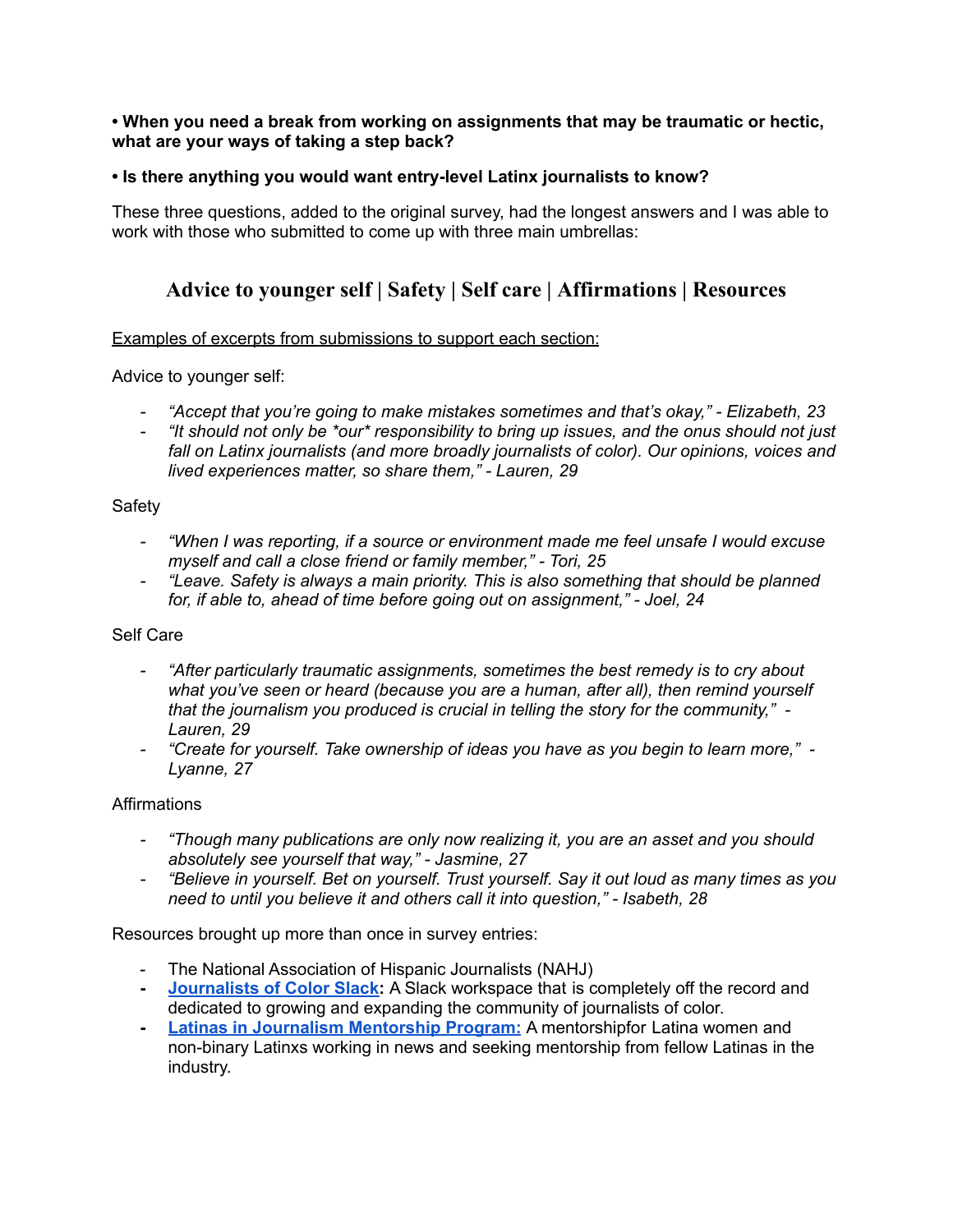#### **• When you need a break from working on assignments that may be traumatic or hectic, what are your ways of taking a step back?**

#### **• Is there anything you would want entry-level Latinx journalists to know?**

These three questions, added to the original survey, had the longest answers and I was able to work with those who submitted to come up with three main umbrellas:

### **Advice to [younger](https://docs.google.com/document/d/17jaZHKPs0-ZWxUMrDJZLXy1qZJOv_gClfLHtFpXBcg0/edit#bookmark=id.t9pjpkom9e8w) self | [Safety](https://docs.google.com/document/d/17jaZHKPs0-ZWxUMrDJZLXy1qZJOv_gClfLHtFpXBcg0/edit#bookmark=id.77e96f12y3r6) | Self [care](https://docs.google.com/document/d/17jaZHKPs0-ZWxUMrDJZLXy1qZJOv_gClfLHtFpXBcg0/edit#bookmark=id.od0t9io5oc65) | [Affirmations](https://docs.google.com/document/d/17jaZHKPs0-ZWxUMrDJZLXy1qZJOv_gClfLHtFpXBcg0/edit#bookmark=id.d8xwrvk9msz6) | [Resources](https://docs.google.com/document/d/17jaZHKPs0-ZWxUMrDJZLXy1qZJOv_gClfLHtFpXBcg0/edit#bookmark=id.ly22x1p8ixo)**

#### Examples of excerpts from submissions to support each section:

Advice to younger self:

- *- "Accept that you're going to make mistakes sometimes and that's okay," - Elizabeth, 23*
- *- "It should not only be \*our\* responsibility to bring up issues, and the onus should not just fall on Latinx journalists (and more broadly journalists of color). Our opinions, voices and lived experiences matter, so share them," - Lauren, 29*

#### Safety

- *- "When I was reporting, if a source or environment made me feel unsafe I would excuse myself and call a close friend or family member," - Tori, 25*
- *- "Leave. Safety is always a main priority. This is also something that should be planned for, if able to, ahead of time before going out on assignment," - Joel, 24*

#### Self Care

- *- "After particularly traumatic assignments, sometimes the best remedy is to cry about what you've seen or heard (because you are a human, after all), then remind yourself that the journalism you produced is crucial in telling the story for the community," - Lauren, 29*
- *- "Create for yourself. Take ownership of ideas you have as you begin to learn more," - Lyanne, 27*

#### **Affirmations**

- *- "Though many publications are only now realizing it, you are an asset and you should absolutely see yourself that way," - Jasmine, 27*
- *- "Believe in yourself. Bet on yourself. Trust yourself. Say it out loud as many times as you need to until you believe it and others call it into question," - Isabeth, 28*

Resources brought up more than once in survey entries:

- The National Association of Hispanic Journalists (NAHJ)
- **- [Journalists](https://journalistsofcolor.us/) of Color Slack:** A Slack workspace that is completely off the record and dedicated to growing and expanding the community of journalists of color.
- **- Latinas in Journalism [Mentorship](https://www.latinajournalists.com/) Program:** A mentorshipfor Latina women and non-binary Latinxs working in news and seeking mentorship from fellow Latinas in the industry.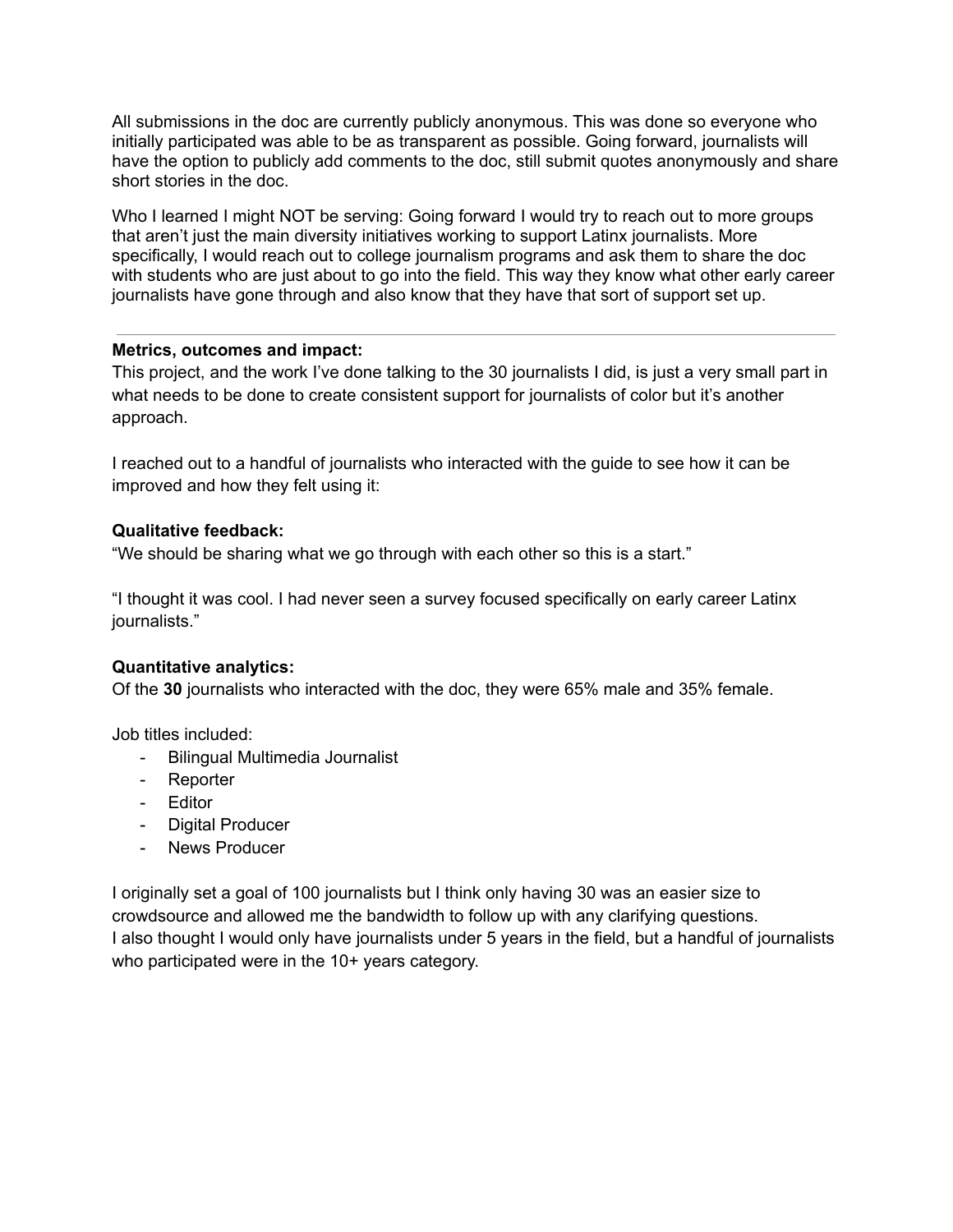All submissions in the doc are currently publicly anonymous. This was done so everyone who initially participated was able to be as transparent as possible. Going forward, journalists will have the option to publicly add comments to the doc, still submit quotes anonymously and share short stories in the doc.

Who I learned I might NOT be serving: Going forward I would try to reach out to more groups that aren't just the main diversity initiatives working to support Latinx journalists. More specifically, I would reach out to college journalism programs and ask them to share the doc with students who are just about to go into the field. This way they know what other early career journalists have gone through and also know that they have that sort of support set up.

#### **Metrics, outcomes and impact:**

This project, and the work I've done talking to the 30 journalists I did, is just a very small part in what needs to be done to create consistent support for journalists of color but it's another approach.

I reached out to a handful of journalists who interacted with the guide to see how it can be improved and how they felt using it:

#### **Qualitative feedback:**

"We should be sharing what we go through with each other so this is a start."

"I thought it was cool. I had never seen a survey focused specifically on early career Latinx journalists."

#### **Quantitative analytics:**

Of the **30** journalists who interacted with the doc, they were 65% male and 35% female.

Job titles included:

- Bilingual Multimedia Journalist
- Reporter
- Editor
- Digital Producer
- News Producer

I originally set a goal of 100 journalists but I think only having 30 was an easier size to crowdsource and allowed me the bandwidth to follow up with any clarifying questions. I also thought I would only have journalists under 5 years in the field, but a handful of journalists who participated were in the 10+ years category.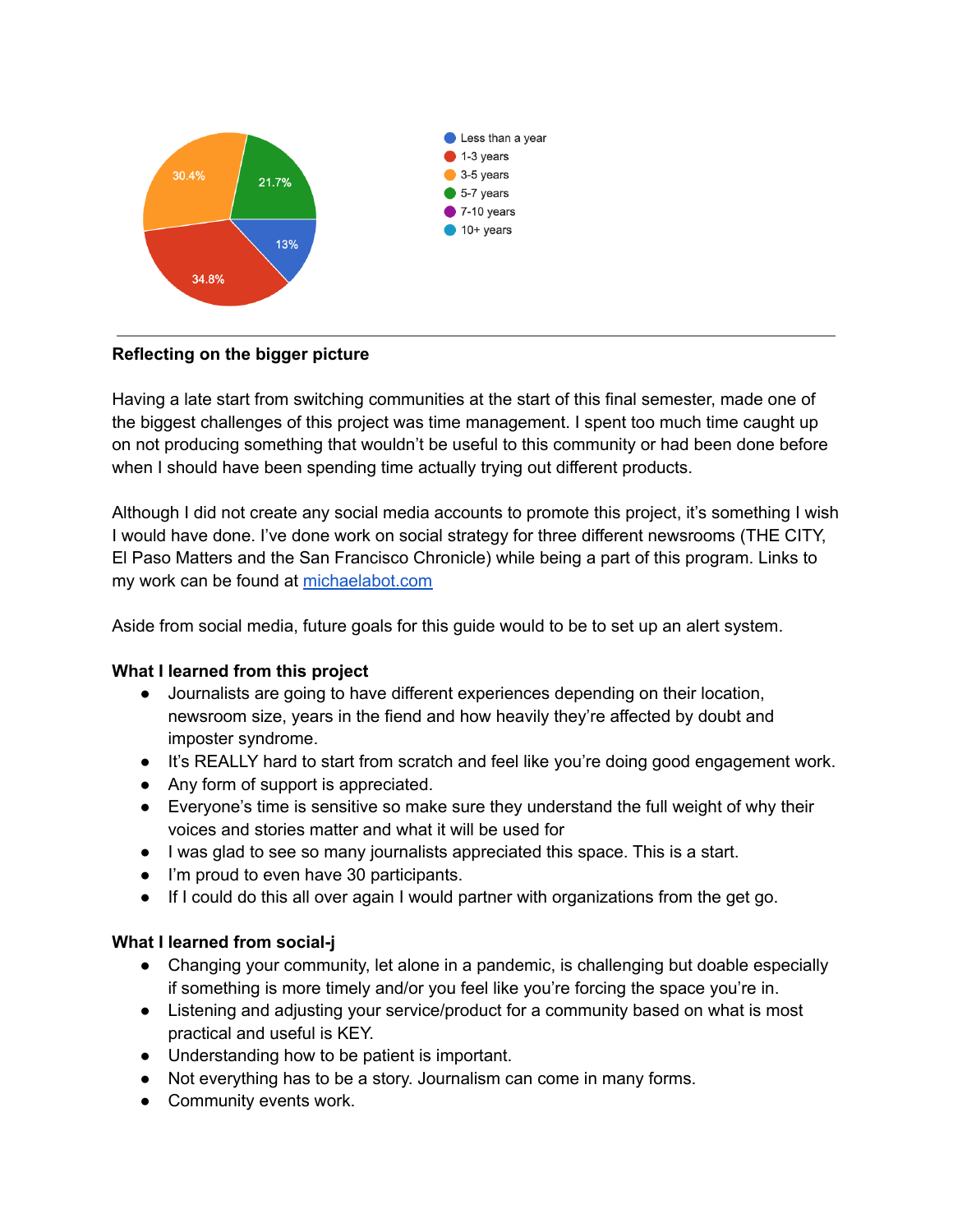

#### **Reflecting on the bigger picture**

Having a late start from switching communities at the start of this final semester, made one of the biggest challenges of this project was time management. I spent too much time caught up on not producing something that wouldn't be useful to this community or had been done before when I should have been spending time actually trying out different products.

Although I did not create any social media accounts to promote this project, it's something I wish I would have done. I've done work on social strategy for three different newsrooms (THE CITY, El Paso Matters and the San Francisco Chronicle) while being a part of this program. Links to my work can be found at [michaelabot.com](http://michaelabot.com/)

Aside from social media, future goals for this guide would to be to set up an alert system.

#### **What I learned from this project**

- Journalists are going to have different experiences depending on their location, newsroom size, years in the fiend and how heavily they're affected by doubt and imposter syndrome.
- It's REALLY hard to start from scratch and feel like you're doing good engagement work.
- Any form of support is appreciated.
- Everyone's time is sensitive so make sure they understand the full weight of why their voices and stories matter and what it will be used for
- I was glad to see so many journalists appreciated this space. This is a start.
- I'm proud to even have 30 participants.
- If I could do this all over again I would partner with organizations from the get go.

#### **What I learned from social-j**

- Changing your community, let alone in a pandemic, is challenging but doable especially if something is more timely and/or you feel like you're forcing the space you're in.
- Listening and adjusting your service/product for a community based on what is most practical and useful is KEY.
- Understanding how to be patient is important.
- Not everything has to be a story. Journalism can come in many forms.
- Community events work.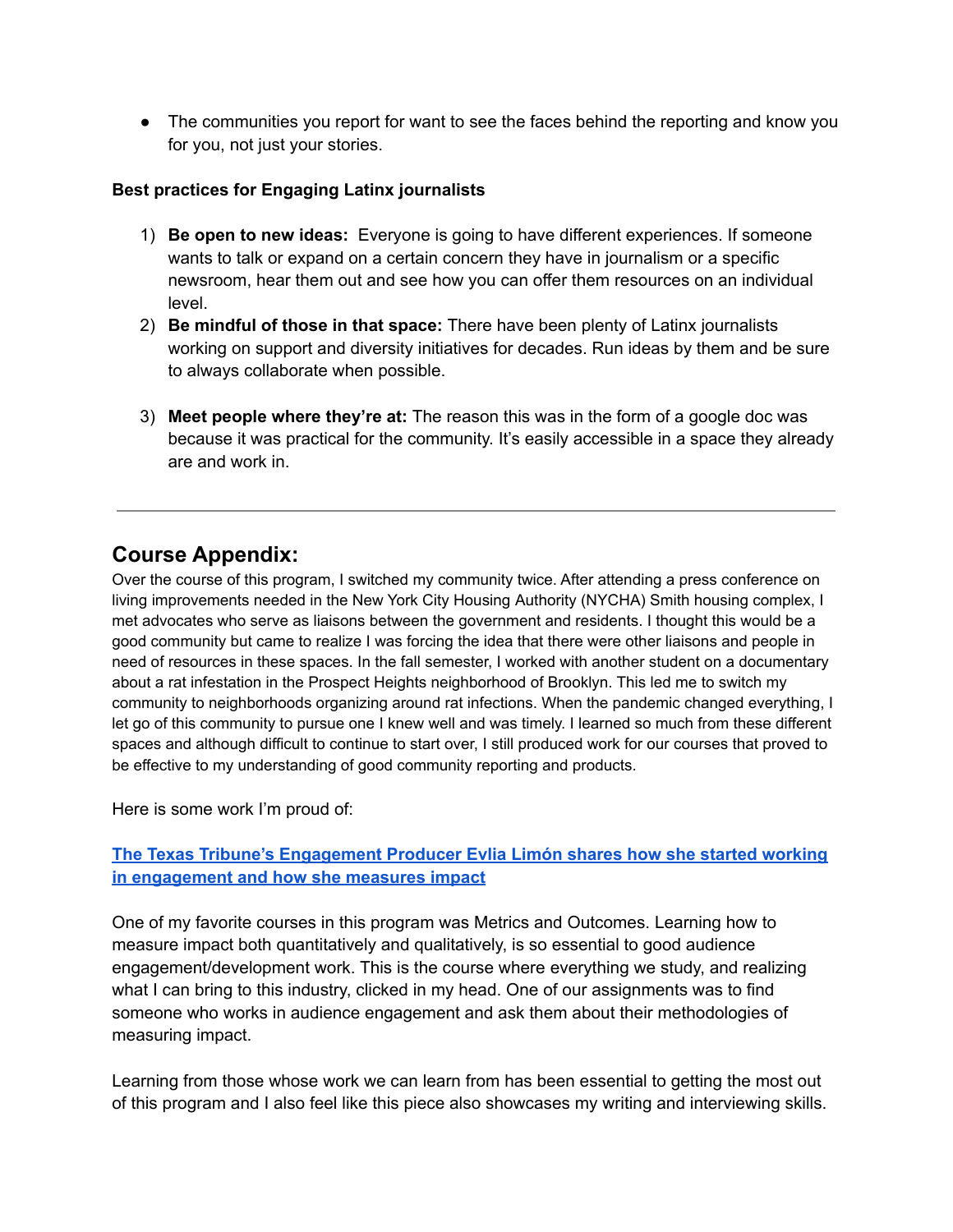• The communities you report for want to see the faces behind the reporting and know you for you, not just your stories.

#### **Best practices for Engaging Latinx journalists**

- 1) **Be open to new ideas:** Everyone is going to have different experiences. If someone wants to talk or expand on a certain concern they have in journalism or a specific newsroom, hear them out and see how you can offer them resources on an individual level.
- 2) **Be mindful of those in that space:** There have been plenty of Latinx journalists working on support and diversity initiatives for decades. Run ideas by them and be sure to always collaborate when possible.
- 3) **Meet people where they're at:** The reason this was in the form of a google doc was because it was practical for the community. It's easily accessible in a space they already are and work in.

## **Course Appendix:**

Over the course of this program, I switched my community twice. After attending a press conference on living improvements needed in the New York City Housing Authority (NYCHA) Smith housing complex, I met advocates who serve as liaisons between the government and residents. I thought this would be a good community but came to realize I was forcing the idea that there were other liaisons and people in need of resources in these spaces. In the fall semester, I worked with another student on a documentary about a rat infestation in the Prospect Heights neighborhood of Brooklyn. This led me to switch my community to neighborhoods organizing around rat infections. When the pandemic changed everything, I let go of this community to pursue one I knew well and was timely. I learned so much from these different spaces and although difficult to continue to start over, I still produced work for our courses that proved to be effective to my understanding of good community reporting and products.

Here is some work I'm proud of:

#### **The Texas Tribune's [Engagement](https://docs.google.com/document/d/1Yv0APxx7Q4V5Ah6wnx8dyxJ-R8BIPIfUk1U1hLwYFfs/edit) Producer Evlia Limón shares how she started working in [engagement](https://docs.google.com/document/d/1Yv0APxx7Q4V5Ah6wnx8dyxJ-R8BIPIfUk1U1hLwYFfs/edit) and how she measures impact**

One of my favorite courses in this program was Metrics and Outcomes. Learning how to measure impact both quantitatively and qualitatively, is so essential to good audience engagement/development work. This is the course where everything we study, and realizing what I can bring to this industry, clicked in my head. One of our assignments was to find someone who works in audience engagement and ask them about their methodologies of measuring impact.

Learning from those whose work we can learn from has been essential to getting the most out of this program and I also feel like this piece also showcases my writing and interviewing skills.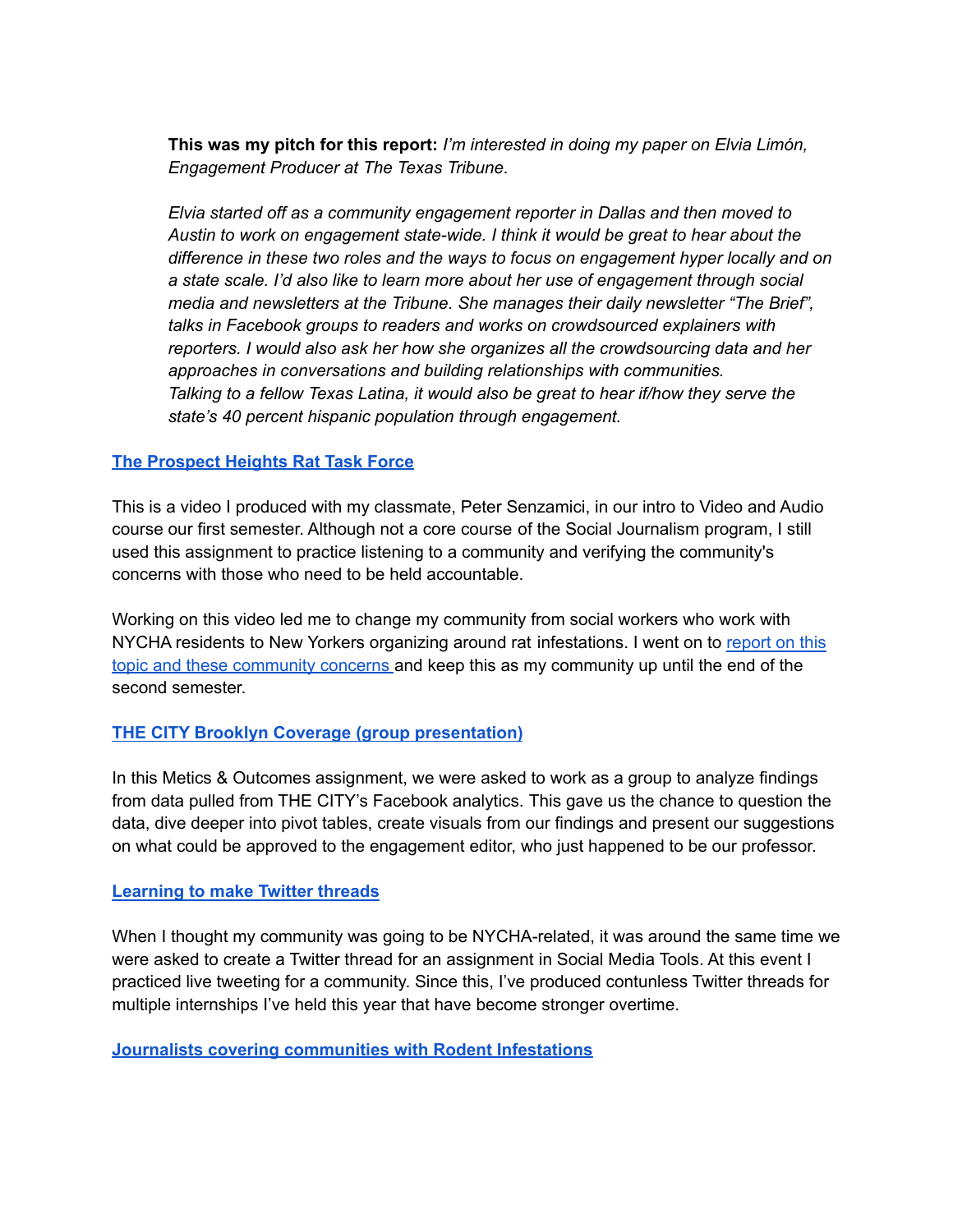**This was my pitch for this report:** *I'm interested in doing my paper on Elvia Limón, Engagement Producer at The Texas Tribune.*

*Elvia started off as a community engagement reporter in Dallas and then moved to Austin to work on engagement state-wide. I think it would be great to hear about the difference in these two roles and the ways to focus on engagement hyper locally and on a state scale. I'd also like to learn more about her use of engagement through social media and newsletters at the Tribune. She manages their daily newsletter "The Brief", talks in Facebook groups to readers and works on crowdsourced explainers with reporters. I would also ask her how she organizes all the crowdsourcing data and her approaches in conversations and building relationships with communities. Talking to a fellow Texas Latina, it would also be great to hear if/how they serve the state's 40 percent hispanic population through engagement.*

#### **The [Prospect](https://www.youtube.com/watch?v=mXVbvm7u8EE&feature=emb_title) Heights Rat Task Force**

This is a video I produced with my classmate, Peter Senzamici, in our intro to Video and Audio course our first semester. Although not a core course of the Social Journalism program, I still used this assignment to practice listening to a community and verifying the community's concerns with those who need to be held accountable.

Working on this video led me to change my community from social workers who work with NYCHA residents to New Yorkers organizing around rat infestations. I went on to [report](https://docs.google.com/document/d/1f1TNfr8ghzZdHDvTXCDXt-H1M9bzBi2ciN3yQGDZrg0/edit) on this topic and these [community](https://docs.google.com/document/d/1f1TNfr8ghzZdHDvTXCDXt-H1M9bzBi2ciN3yQGDZrg0/edit) concerns and keep this as my community up until the end of the second semester.

#### **THE CITY Brooklyn Coverage (group [presentation\)](https://docs.google.com/presentation/d/1OMd9xn6eyQfBzjpZ2bNlp0_p0bQOBnMEAzBcNNs-3Jk/edit#slide=id.g848bf0f538_0_3)**

In this Metics & Outcomes assignment, we were asked to work as a group to analyze findings from data pulled from THE CITY's Facebook analytics. This gave us the chance to question the data, dive deeper into pivot tables, create visuals from our findings and present our suggestions on what could be approved to the engagement editor, who just happened to be our professor.

#### **[Learning](https://twitter.com/michaelaroman_/status/1179456100829204485) to make Twitter threads**

When I thought my community was going to be NYCHA-related, it was around the same time we were asked to create a Twitter thread for an assignment in Social Media Tools. At this event I practiced live tweeting for a community. Since this, I've produced contunless Twitter threads for multiple internships I've held this year that have become stronger overtime.

#### **Journalists covering [communities](https://docs.google.com/document/d/17Ojr6GxkqukNezwzHQJQBUJIi-rIw802T_ycczkmh_M/edit) with Rodent Infestations**